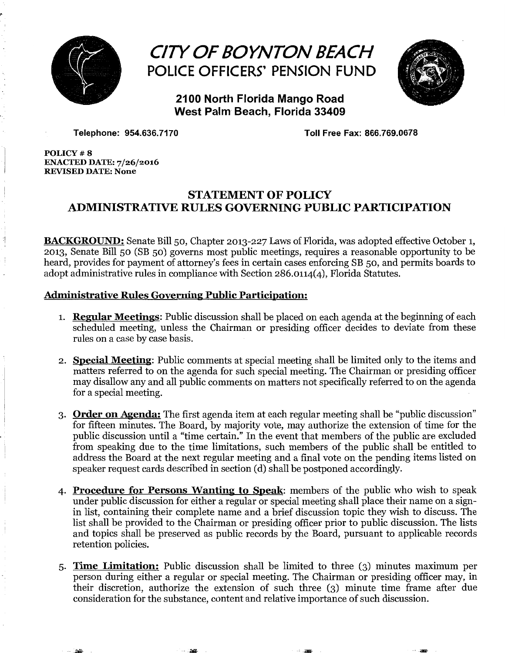

## *CITY OF BOYNTON BEACH*  POLICE OFFICERS' PENSION FUND



2100 North Florida Mango Road West Palm Beach, Florida 33409

Telephone: 954.636.7170 Toll Free Fax: 866.769.0678

POLICY #8 ENACTED DATE: 7/26/2016 REVISED DATE: None

. ·~

## STATEMENT OF POLICY ADMINISTRATIVE RULES GOVERNING PUBLIC PARTICIPATION

**BACKGROUND:** Senate Bill 50, Chapter 2013-227 Laws of Florida, was adopted effective October 1, 2013, Senate Bill 50 (SB 50) governs most public meetings, requires a reasonable opportunity to be heard, provides for payment of attorney's fees in certain cases enforcing SB 50, and permits boards to adopt administrative rules in compliance with Section 286.0114(4), Florida Statutes.

## Administrative Rules Governing Public Participation:

- 1. **Regular Meetings:** Public discussion shall be placed on each agenda at the beginning of each scheduled meeting, unless the Chairman or presiding officer decides to deviate from these rules on a case by case basis.
- 2. Special Meeting: Public comments at special meeting shall be limited only to the items and matters referred to on the agenda for such special meeting. The Chairman or presiding officer may disallow any and all public comments on matters not specifically referred to on the agenda for a special meeting.
- 3. Order on Agenda: The first agenda item at each regular meeting shall be "public discussion" for fifteen minutes. The Board, by majority vote, may authorize the extension of time for the public discussion until a "time certain." In the event that members of the public are excluded from speaking due to the time limitations, such members of the public shall be entitled to address the Board at the next regular meeting and a final vote on the pending items listed on speaker request cards described in section (d) shall be postponed accordingly.
- 4. Procedure for Persons Wanting to Speak: members of the public who wish to speak under public discussion for either a regular or special meeting shall place their name on a signin list, containing their complete name and a brief discussion topic they wish to discuss. The list shall be provided to the Chairman or presiding officer prior to public discussion. The lists and topics shall be preserved as public records by the Board, pursuant to applicable records retention policies.
- 5· Time Limitation: Public discussion shall be limited to three (3) minutes maximum per person during either a regular or special meeting. The Chairman or presiding officer may, in their discretion, authorize the extension of such three (3) minute time frame after due consideration for the substance, content and relative importance of such discussion .